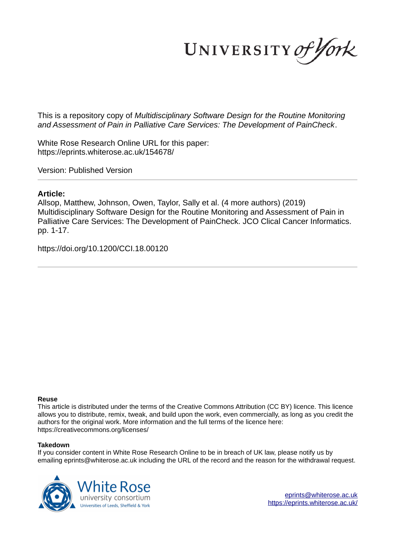UNIVERSITY of York

This is a repository copy of *Multidisciplinary Software Design for the Routine Monitoring and Assessment of Pain in Palliative Care Services: The Development of PainCheck*.

White Rose Research Online URL for this paper: https://eprints.whiterose.ac.uk/154678/

Version: Published Version

# **Article:**

Allsop, Matthew, Johnson, Owen, Taylor, Sally et al. (4 more authors) (2019) Multidisciplinary Software Design for the Routine Monitoring and Assessment of Pain in Palliative Care Services: The Development of PainCheck. JCO Clical Cancer Informatics. pp. 1-17.

https://doi.org/10.1200/CCI.18.00120

## **Reuse**

This article is distributed under the terms of the Creative Commons Attribution (CC BY) licence. This licence allows you to distribute, remix, tweak, and build upon the work, even commercially, as long as you credit the authors for the original work. More information and the full terms of the licence here: https://creativecommons.org/licenses/

## **Takedown**

If you consider content in White Rose Research Online to be in breach of UK law, please notify us by emailing eprints@whiterose.ac.uk including the URL of the record and the reason for the withdrawal request.

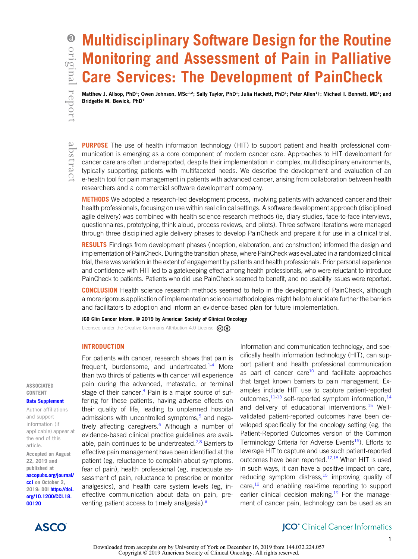abstract

# <sup>®</sup> Multidisciplinary Software Design for the Routine Monitoring and Assessment of Pain in Palliative Care Services: The Development of PainCheck

Matthew J. Allsop, PhD<sup>1</sup>; Owen Johnson, MSc<sup>1,2</sup>; Sally Taylor, PhD<sup>1</sup>; Julia Hackett, PhD<sup>1</sup>; Peter Allen<sup>1</sup>†; Michael I. Bennett, MD<sup>1</sup>; and Bridgette M. Bewick, PhD<sup>1</sup>

**PURPOSE** The use of health information technology (HIT) to support patient and health professional communication is emerging as a core component of modern cancer care. Approaches to HIT development for cancer care are often underreported, despite their implementation in complex, multidisciplinary environments, typically supporting patients with multifaceted needs. We describe the development and evaluation of an e-health tool for pain management in patients with advanced cancer, arising from collaboration between health researchers and a commercial software development company.

**METHODS** We adopted a research-led development process, involving patients with advanced cancer and their health professionals, focusing on use within real clinical settings. A software development approach (disciplined agile delivery) was combined with health science research methods (ie, diary studies, face-to-face interviews, questionnaires, prototyping, think aloud, process reviews, and pilots). Three software iterations were managed through three disciplined agile delivery phases to develop PainCheck and prepare it for use in a clinical trial.

**RESULTS** Findings from development phases (inception, elaboration, and construction) informed the design and implementation of PainCheck. During the transition phase, where PainCheck was evaluated in a randomized clinical trial, there was variation in the extent of engagement by patients and health professionals. Prior personal experience and confidence with HIT led to a gatekeeping effect among health professionals, who were reluctant to introduce PainCheck to patients. Patients who did use PainCheck seemed to benefit, and no usability issues were reported.

**CONCLUSION** Health science research methods seemed to help in the development of PainCheck, although a more rigorous application of implementation science methodologies might help to elucidate further the barriers and facilitators to adoption and inform an evidence-based plan for future implementation.

JCO Clin Cancer Inform. © 2019 by American Society of Clinical Oncology

Licensed under the Creative Commons Attribution 4.0 License  $\mathbb{G}(\widehat{\mathbf{f}})$ 

#### INTRODUCTION

For patients with cancer, research shows that pain is frequent, burdensome, and undertreated. $1-4$  More than two thirds of patients with cancer will experience pain during the advanced, metastatic, or terminal stage of their cancer.<sup>4</sup> Pain is a major source of suffering for these patients, having adverse effects on their quality of life, leading to unplanned hospital admissions with uncontrolled symptoms,<sup>5</sup> and negatively affecting caregivers.<sup>6</sup> Although a number of evidence-based clinical practice guidelines are available, pain continues to be undertreated.<sup>7,8</sup> Barriers to effective pain management have been identified at the patient (eg, reluctance to complain about symptoms, fear of pain), health professional (eg, inadequate assessment of pain, reluctance to prescribe or monitor analgesics), and health care system levels (eg, ineffective communication about data on pain, preventing patient access to timely analgesia).<sup>9</sup>

Information and communication technology, and specifically health information technology (HIT), can support patient and health professional communication as part of cancer care $10$  and facilitate approaches that target known barriers to pain management. Examples include HIT use to capture patient-reported outcomes, $11-13$  self-reported symptom information.<sup>14</sup> and delivery of educational interventions.<sup>15</sup> Wellvalidated patient-reported outcomes have been developed specifically for the oncology setting (eg, the Patient-Reported Outcomes version of the Common Terminology Criteria for Adverse Events<sup>16</sup>). Efforts to leverage HIT to capture and use such patient-reported outcomes have been reported.<sup>17,18</sup> When HIT is used in such ways, it can have a positive impact on care, reducing symptom distress, $15$  improving quality of care, $12$  and enabling real-time reporting to support earlier clinical decision making.<sup>19</sup> For the management of cancer pain, technology can be used as an

#### ASSOCIATED CONTENT Data Supplement

Author affiliations and support

information (if applicable) appear at the end of this article.

Accepted on August 22, 2019 and published at ascopubs.org/journal/ cci on October 2, 2019: DOI https://doi. org/10.1200/CCI.18. 00120

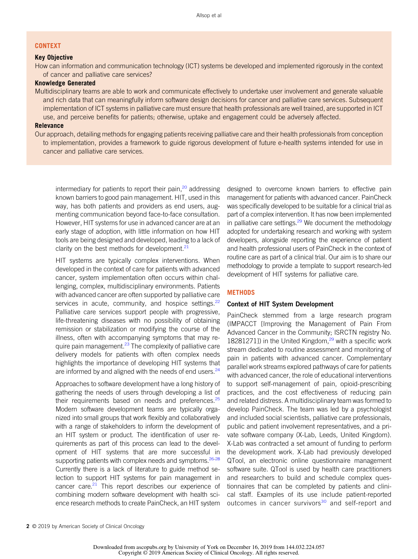#### **CONTEXT**

#### Key Objective

How can information and communication technology (ICT) systems be developed and implemented rigorously in the context of cancer and palliative care services?

#### Knowledge Generated

Multidisciplinary teams are able to work and communicate effectively to undertake user involvement and generate valuable and rich data that can meaningfully inform software design decisions for cancer and palliative care services. Subsequent implementation of ICT systems in palliative care must ensure that health professionals are well trained, are supported in ICT use, and perceive benefits for patients; otherwise, uptake and engagement could be adversely affected.

# **Relevance**

Our approach, detailing methods for engaging patients receiving palliative care and their health professionals from conception to implementation, provides a framework to guide rigorous development of future e-health systems intended for use in cancer and palliative care services.

intermediary for patients to report their pain,<sup>20</sup> addressing known barriers to good pain management. HIT, used in this way, has both patients and providers as end users, augmenting communication beyond face-to-face consultation. However, HIT systems for use in advanced cancer are at an early stage of adoption, with little information on how HIT tools are being designed and developed, leading to a lack of clarity on the best methods for development. $21$ 

HIT systems are typically complex interventions. When developed in the context of care for patients with advanced cancer, system implementation often occurs within challenging, complex, multidisciplinary environments. Patients with advanced cancer are often supported by palliative care services in acute, community, and hospice settings.  $22$ Palliative care services support people with progressive, life-threatening diseases with no possibility of obtaining remission or stabilization or modifying the course of the illness, often with accompanying symptoms that may require pain management.<sup>23</sup> The complexity of palliative care delivery models for patients with often complex needs highlights the importance of developing HIT systems that are informed by and aligned with the needs of end users.<sup>24</sup>

Approaches to software development have a long history of gathering the needs of users through developing a list of their requirements based on needs and preferences.<sup>25</sup> Modern software development teams are typically organized into small groups that work flexibly and collaboratively with a range of stakeholders to inform the development of an HIT system or product. The identification of user requirements as part of this process can lead to the development of HIT systems that are more successful in supporting patients with complex needs and symptoms.<sup>26-28</sup> Currently there is a lack of literature to guide method selection to support HIT systems for pain management in cancer care.<sup>21</sup> This report describes our experience of combining modern software development with health science research methods to create PainCheck, an HIT system

designed to overcome known barriers to effective pain management for patients with advanced cancer. PainCheck was specifically developed to be suitable for a clinical trial as part of a complex intervention. It has now been implemented in palliative care settings. $^{29}$  We document the methodology adopted for undertaking research and working with system developers, alongside reporting the experience of patient and health professional users of PainCheck in the context of routine care as part of a clinical trial. Our aim is to share our methodology to provide a template to support research-led development of HIT systems for palliative care.

## **METHODS**

#### Context of HIT System Development

PainCheck stemmed from a large research program (IMPACCT [Improving the Management of Pain From Advanced Cancer in the Community; ISRCTN registry No. 18281271]) in the United Kingdom, $^{29}$  with a specific work stream dedicated to routine assessment and monitoring of pain in patients with advanced cancer. Complementary parallel work streams explored pathways of care for patients with advanced cancer, the role of educational interventions to support self-management of pain, opioid-prescribing practices, and the cost effectiveness of reducing pain and related distress. A multidisciplinary team was formed to develop PainCheck. The team was led by a psychologist and included social scientists, palliative care professionals, public and patient involvement representatives, and a private software company (X-Lab, Leeds, United Kingdom). X-Lab was contracted a set amount of funding to perform the development work. X-Lab had previously developed QTool, an electronic online questionnaire management software suite. QTool is used by health care practitioners and researchers to build and schedule complex questionnaires that can be completed by patients and clinical staff. Examples of its use include patient-reported outcomes in cancer survivors $30$  and self-report and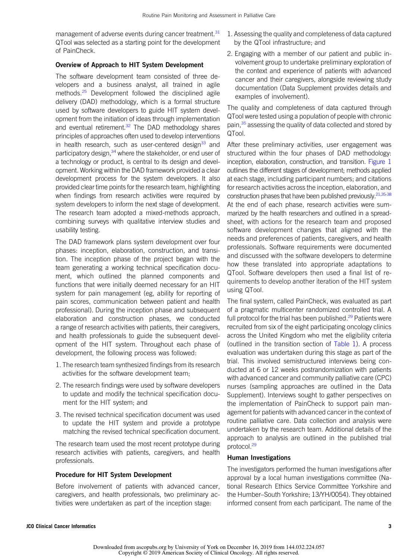management of adverse events during cancer treatment.<sup>31</sup> QTool was selected as a starting point for the development of PainCheck.

#### Overview of Approach to HIT System Development

The software development team consisted of three developers and a business analyst, all trained in agile methods.<sup>25</sup> Development followed the disciplined agile delivery (DAD) methodology, which is a formal structure used by software developers to guide HIT system development from the initiation of ideas through implementation and eventual retirement. $32$  The DAD methodology shares principles of approaches often used to develop interventions in health research, such as user-centered design<sup>33</sup> and participatory design,<sup>34</sup> where the stakeholder, or end user of a technology or product, is central to its design and development. Working within the DAD framework provided a clear development process for the system developers. It also provided clear time points for the research team, highlighting when findings from research activities were required by system developers to inform the next stage of development. The research team adopted a mixed-methods approach, combining surveys with qualitative interview studies and usability testing.

The DAD framework plans system development over four phases: inception, elaboration, construction, and transition. The inception phase of the project began with the team generating a working technical specification document, which outlined the planned components and functions that were initially deemed necessary for an HIT system for pain management (eg, ability for reporting of pain scores, communication between patient and health professional). During the inception phase and subsequent elaboration and construction phases, we conducted a range of research activities with patients, their caregivers, and health professionals to guide the subsequent development of the HIT system. Throughout each phase of development, the following process was followed:

- 1. The research team synthesized findings from its research activities for the software development team;
- 2. The research findings were used by software developers to update and modify the technical specification document for the HIT system; and
- 3. The revised technical specification document was used to update the HIT system and provide a prototype matching the revised technical specification document.

The research team used the most recent prototype during research activities with patients, caregivers, and health professionals.

#### Procedure for HIT System Development

Before involvement of patients with advanced cancer, caregivers, and health professionals, two preliminary activities were undertaken as part of the inception stage:

- 1. Assessing the quality and completeness of data captured by the QTool infrastructure; and
- 2. Engaging with a member of our patient and public involvement group to undertake preliminary exploration of the context and experience of patients with advanced cancer and their caregivers, alongside reviewing study documentation (Data Supplement provides details and examples of involvement).

The quality and completeness of data captured through QTool were tested using a population of people with chronic pain,<sup>35</sup> assessing the quality of data collected and stored by QTool.

After these preliminary activities, user engagement was structured within the four phases of DAD methodology: inception, elaboration, construction, and transition. Figure 1 outlines the different stages of development; methods applied at each stage, including participant numbers; and citations for research activities across the inception, elaboration, and construction phases that have been published previously.<sup>21,35-38</sup> At the end of each phase, research activities were summarized by the health researchers and outlined in a spreadsheet, with actions for the research team and proposed software development changes that aligned with the needs and preferences of patients, caregivers, and health professionals. Software requirements were documented and discussed with the software developers to determine how these translated into appropriate adaptations to QTool. Software developers then used a final list of requirements to develop another iteration of the HIT system using QTool.

The final system, called PainCheck, was evaluated as part of a pragmatic multicenter randomized controlled trial. A full protocol for the trial has been published.<sup>29</sup> Patients were recruited from six of the eight participating oncology clinics across the United Kingdom who met the eligibility criteria (outlined in the transition section of Table 1). A process evaluation was undertaken during this stage as part of the trial. This involved semistructured interviews being conducted at 6 or 12 weeks postrandomization with patients with advanced cancer and community palliative care (CPC) nurses (sampling approaches are outlined in the Data Supplement). Interviews sought to gather perspectives on the implementation of PainCheck to support pain management for patients with advanced cancer in the context of routine palliative care. Data collection and analysis were undertaken by the research team. Additional details of the approach to analysis are outlined in the published trial protocol.<sup>29</sup>

#### Human Investigations

The investigators performed the human investigations after approval by a local human investigations committee (National Research Ethics Service Committee Yorkshire and the Humber–South Yorkshire; 13/YH/0054). They obtained informed consent from each participant. The name of the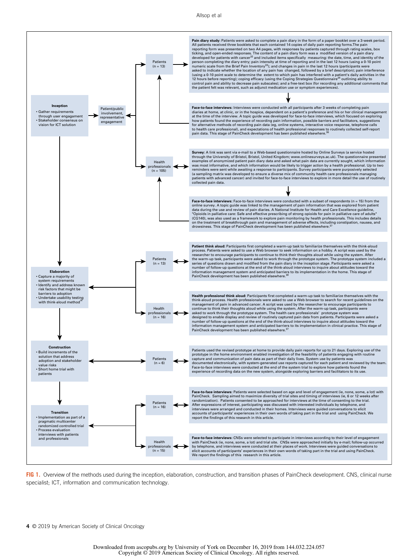#### Allsop et al



**FIG 1.** Overview of the methods used during the inception, elaboration, construction, and transition phases of PainCheck development. CNS, clinical nurse specialist; ICT, information and communication technology.

4 © 2019 by American Society of Clinical Oncology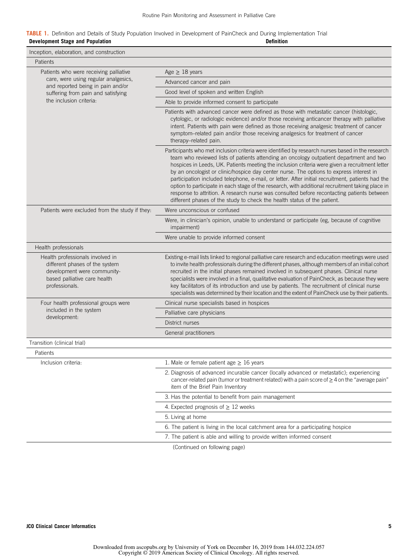TABLE 1. Definition and Details of Study Population Involved in Development of PainCheck and During Implementation Trial Development Stage and Population **Definition** Definition

Inception, elaboration, and construction

| Patients                                                                                                                                                  |                                                                                                                                                                                                                                                                                                                                                                                                                                                                                                                                                                                                                                                                                                                                                                            |  |  |
|-----------------------------------------------------------------------------------------------------------------------------------------------------------|----------------------------------------------------------------------------------------------------------------------------------------------------------------------------------------------------------------------------------------------------------------------------------------------------------------------------------------------------------------------------------------------------------------------------------------------------------------------------------------------------------------------------------------------------------------------------------------------------------------------------------------------------------------------------------------------------------------------------------------------------------------------------|--|--|
| Patients who were receiving palliative<br>care, were using regular analgesics,<br>and reported being in pain and/or<br>suffering from pain and satisfying | Age $\geq$ 18 years                                                                                                                                                                                                                                                                                                                                                                                                                                                                                                                                                                                                                                                                                                                                                        |  |  |
|                                                                                                                                                           | Advanced cancer and pain                                                                                                                                                                                                                                                                                                                                                                                                                                                                                                                                                                                                                                                                                                                                                   |  |  |
|                                                                                                                                                           | Good level of spoken and written English                                                                                                                                                                                                                                                                                                                                                                                                                                                                                                                                                                                                                                                                                                                                   |  |  |
| the inclusion criteria:                                                                                                                                   | Able to provide informed consent to participate                                                                                                                                                                                                                                                                                                                                                                                                                                                                                                                                                                                                                                                                                                                            |  |  |
|                                                                                                                                                           | Patients with advanced cancer were defined as those with metastatic cancer (histologic,<br>cytologic, or radiologic evidence) and/or those receiving anticancer therapy with palliative<br>intent. Patients with pain were defined as those receiving analgesic treatment of cancer<br>symptom-related pain and/or those receiving analgesics for treatment of cancer<br>therapy-related pain.                                                                                                                                                                                                                                                                                                                                                                             |  |  |
|                                                                                                                                                           | Participants who met inclusion criteria were identified by research nurses based in the research<br>team who reviewed lists of patients attending an oncology outpatient department and two<br>hospices in Leeds, UK. Patients meeting the inclusion criteria were given a recruitment letter<br>by an oncologist or clinic/hospice day center nurse. The options to express interest in<br>participation included telephone, e-mail, or letter. After initial recruitment, patients had the<br>option to participate in each stage of the research, with additional recruitment taking place in<br>response to attrition. A research nurse was consulted before recontacting patients between<br>different phases of the study to check the health status of the patient. |  |  |
| Patients were excluded from the study if they:                                                                                                            | Were unconscious or confused                                                                                                                                                                                                                                                                                                                                                                                                                                                                                                                                                                                                                                                                                                                                               |  |  |
|                                                                                                                                                           | Were, in clinician's opinion, unable to understand or participate (eg, because of cognitive<br>impairment)                                                                                                                                                                                                                                                                                                                                                                                                                                                                                                                                                                                                                                                                 |  |  |
|                                                                                                                                                           | Were unable to provide informed consent                                                                                                                                                                                                                                                                                                                                                                                                                                                                                                                                                                                                                                                                                                                                    |  |  |
| Health professionals                                                                                                                                      |                                                                                                                                                                                                                                                                                                                                                                                                                                                                                                                                                                                                                                                                                                                                                                            |  |  |
| Health professionals involved in<br>different phases of the system<br>development were community-<br>based palliative care health<br>professionals.       | Existing e-mail lists linked to regional palliative care research and education meetings were used<br>to invite health professionals during the different phases, although members of an initial cohort<br>recruited in the initial phases remained involved in subsequent phases. Clinical nurse<br>specialists were involved in a final, qualitative evaluation of PainCheck, as because they were<br>key facilitators of its introduction and use by patients. The recruitment of clinical nurse<br>specialists was determined by their location and the extent of PainCheck use by their patients.                                                                                                                                                                     |  |  |
| Four health professional groups were                                                                                                                      | Clinical nurse specialists based in hospices                                                                                                                                                                                                                                                                                                                                                                                                                                                                                                                                                                                                                                                                                                                               |  |  |
| included in the system                                                                                                                                    | Palliative care physicians                                                                                                                                                                                                                                                                                                                                                                                                                                                                                                                                                                                                                                                                                                                                                 |  |  |
| development:                                                                                                                                              | District nurses                                                                                                                                                                                                                                                                                                                                                                                                                                                                                                                                                                                                                                                                                                                                                            |  |  |
|                                                                                                                                                           | General practitioners                                                                                                                                                                                                                                                                                                                                                                                                                                                                                                                                                                                                                                                                                                                                                      |  |  |
| Transition (clinical trial)                                                                                                                               |                                                                                                                                                                                                                                                                                                                                                                                                                                                                                                                                                                                                                                                                                                                                                                            |  |  |
| Patients                                                                                                                                                  |                                                                                                                                                                                                                                                                                                                                                                                                                                                                                                                                                                                                                                                                                                                                                                            |  |  |
| Inclusion criteria:                                                                                                                                       | 1. Male or female patient age $\geq$ 16 years                                                                                                                                                                                                                                                                                                                                                                                                                                                                                                                                                                                                                                                                                                                              |  |  |
|                                                                                                                                                           | 2. Diagnosis of advanced incurable cancer (locally advanced or metastatic); experiencing<br>cancer-related pain (tumor or treatment related) with a pain score of $\geq$ 4 on the "average pain"<br>item of the Brief Pain Inventory                                                                                                                                                                                                                                                                                                                                                                                                                                                                                                                                       |  |  |
|                                                                                                                                                           | 3. Has the potential to benefit from pain management                                                                                                                                                                                                                                                                                                                                                                                                                                                                                                                                                                                                                                                                                                                       |  |  |
|                                                                                                                                                           | 4. Expected prognosis of $\geq$ 12 weeks                                                                                                                                                                                                                                                                                                                                                                                                                                                                                                                                                                                                                                                                                                                                   |  |  |
|                                                                                                                                                           | 5. Living at home                                                                                                                                                                                                                                                                                                                                                                                                                                                                                                                                                                                                                                                                                                                                                          |  |  |
|                                                                                                                                                           | 6. The patient is living in the local catchment area for a participating hospice                                                                                                                                                                                                                                                                                                                                                                                                                                                                                                                                                                                                                                                                                           |  |  |
|                                                                                                                                                           | 7. The patient is able and willing to provide written informed consent                                                                                                                                                                                                                                                                                                                                                                                                                                                                                                                                                                                                                                                                                                     |  |  |

(Continued on following page)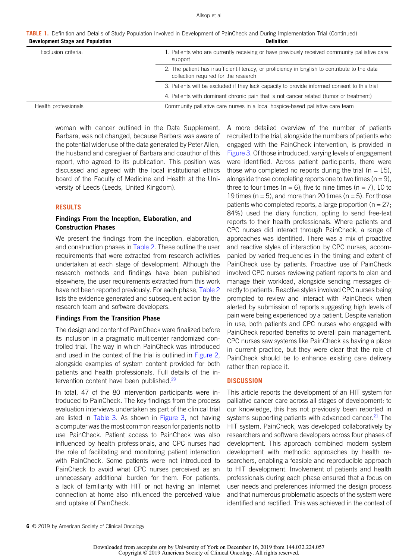TABLE 1. Definition and Details of Study Population Involved in Development of PainCheck and During Implementation Trial (Continued) **Development Stage and Population** Definition Definition Definition

| Exclusion criteria:              | 1. Patients who are currently receiving or have previously received community palliative care<br>support                                                                                                                       |
|----------------------------------|--------------------------------------------------------------------------------------------------------------------------------------------------------------------------------------------------------------------------------|
|                                  | 2. The patient has insufficient literacy, or proficiency in English to contribute to the data<br>collection required for the research                                                                                          |
|                                  | 3. Patients will be excluded if they lack capacity to provide informed consent to this trial                                                                                                                                   |
|                                  | 4. Patients with dominant chronic pain that is not cancer related (tumor or treatment)                                                                                                                                         |
| the attitude of a continuants of | Account of the coefficial components of the coefficients of the coefficient of the components of the components of the coefficients of the coefficients of the coefficients of the coefficients of the coefficients of the coe |

Health professionals Community palliative care nurses in a local hospice-based palliative care team

woman with cancer outlined in the Data Supplement, Barbara, was not changed, because Barbara was aware of the potential wider use of the data generated by Peter Allen, the husband and caregiver of Barbara and coauthor of this report, who agreed to its publication. This position was discussed and agreed with the local institutional ethics board of the Faculty of Medicine and Health at the University of Leeds (Leeds, United Kingdom).

#### RESULTS

#### Findings From the Inception, Elaboration, and Construction Phases

We present the findings from the inception, elaboration, and construction phases in Table 2. These outline the user requirements that were extracted from research activities undertaken at each stage of development. Although the research methods and findings have been published elsewhere, the user requirements extracted from this work have not been reported previously. For each phase, Table 2 lists the evidence generated and subsequent action by the research team and software developers.

#### Findings From the Transition Phase

The design and content of PainCheck were finalized before its inclusion in a pragmatic multicenter randomized controlled trial. The way in which PainCheck was introduced and used in the context of the trial is outlined in Figure 2, alongside examples of system content provided for both patients and health professionals. Full details of the intervention content have been published.<sup>29</sup>

In total, 47 of the 80 intervention participants were introduced to PainCheck. The key findings from the process evaluation interviews undertaken as part of the clinical trial are listed in Table 3. As shown in Figure 3, not having a computer was the most common reason for patients not to use PainCheck. Patient access to PainCheck was also influenced by health professionals, and CPC nurses had the role of facilitating and monitoring patient interaction with PainCheck. Some patients were not introduced to PainCheck to avoid what CPC nurses perceived as an unnecessary additional burden for them. For patients, a lack of familiarity with HIT or not having an Internet connection at home also influenced the perceived value and uptake of PainCheck.

A more detailed overview of the number of patients recruited to the trial, alongside the numbers of patients who engaged with the PainCheck intervention, is provided in Figure 3. Of those introduced, varying levels of engagement were identified. Across patient participants, there were those who completed no reports during the trial ( $n = 15$ ), alongside those completing reports one to two times  $(n = 9)$ , three to four times ( $n = 6$ ), five to nine times ( $n = 7$ ), 10 to 19 times ( $n = 5$ ), and more than 20 times ( $n = 5$ ). For those patients who completed reports, a large proportion ( $n = 27$ ; 84%) used the diary function, opting to send free-text reports to their health professionals. Where patients and CPC nurses did interact through PainCheck, a range of approaches was identified. There was a mix of proactive and reactive styles of interaction by CPC nurses, accompanied by varied frequencies in the timing and extent of PainCheck use by patients. Proactive use of PainCheck involved CPC nurses reviewing patient reports to plan and manage their workload, alongside sending messages directly to patients. Reactive styles involved CPC nurses being prompted to review and interact with PainCheck when alerted by submission of reports suggesting high levels of pain were being experienced by a patient. Despite variation in use, both patients and CPC nurses who engaged with PainCheck reported benefits to overall pain management. CPC nurses saw systems like PainCheck as having a place in current practice, but they were clear that the role of PainCheck should be to enhance existing care delivery rather than replace it.

#### **DISCUSSION**

This article reports the development of an HIT system for palliative cancer care across all stages of development; to our knowledge, this has not previously been reported in systems supporting patients with advanced cancer.<sup>21</sup> The HIT system, PainCheck, was developed collaboratively by researchers and software developers across four phases of development. This approach combined modern system development with methodic approaches by health researchers, enabling a feasible and reproducible approach to HIT development. Involvement of patients and health professionals during each phase ensured that a focus on user needs and preferences informed the design process and that numerous problematic aspects of the system were identified and rectified. This was achieved in the context of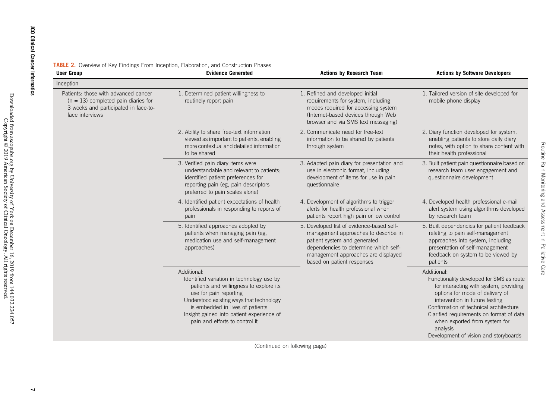|  |  |  |  |  | <b>TABLE 2.</b> Overview of Key Findings From Inception, Elaboration, and Construction Phases |  |
|--|--|--|--|--|-----------------------------------------------------------------------------------------------|--|
|  |  |  |  |  |                                                                                               |  |

| <b>User Group</b>                                                                                                                        | $\blacksquare$ $\blacksquare$ $\blacksquare$ $\blacksquare$ $\blacksquare$ $\blacksquare$ $\blacksquare$ $\blacksquare$ $\blacksquare$ $\blacksquare$ $\blacksquare$ $\blacksquare$ $\blacksquare$ $\blacksquare$ $\blacksquare$ $\blacksquare$ $\blacksquare$ $\blacksquare$ $\blacksquare$ $\blacksquare$ $\blacksquare$ $\blacksquare$ $\blacksquare$ $\blacksquare$ $\blacksquare$ $\blacksquare$ $\blacksquare$ $\blacksquare$ $\blacksquare$ $\blacksquare$ $\blacksquare$ $\blacks$<br><b>Evidence Generated</b> | <b>Actions by Research Team</b>                                                                                                                                                                                                 | <b>Actions by Software Developers</b>                                                                                                                                                                                                                                                                                                              |
|------------------------------------------------------------------------------------------------------------------------------------------|-------------------------------------------------------------------------------------------------------------------------------------------------------------------------------------------------------------------------------------------------------------------------------------------------------------------------------------------------------------------------------------------------------------------------------------------------------------------------------------------------------------------------|---------------------------------------------------------------------------------------------------------------------------------------------------------------------------------------------------------------------------------|----------------------------------------------------------------------------------------------------------------------------------------------------------------------------------------------------------------------------------------------------------------------------------------------------------------------------------------------------|
| Inception                                                                                                                                |                                                                                                                                                                                                                                                                                                                                                                                                                                                                                                                         |                                                                                                                                                                                                                                 |                                                                                                                                                                                                                                                                                                                                                    |
| Patients: those with advanced cancer<br>$(n = 13)$ completed pain diaries for<br>3 weeks and participated in face-to-<br>face interviews | 1. Determined patient willingness to<br>routinely report pain                                                                                                                                                                                                                                                                                                                                                                                                                                                           | 1. Refined and developed initial<br>requirements for system, including<br>modes required for accessing system<br>(Internet-based devices through Web)<br>browser and via SMS text messaging)                                    | 1. Tailored version of site developed for<br>mobile phone display                                                                                                                                                                                                                                                                                  |
|                                                                                                                                          | 2. Ability to share free-text information<br>viewed as important to patients, enabling<br>more contextual and detailed information<br>to be shared                                                                                                                                                                                                                                                                                                                                                                      | 2. Communicate need for free-text<br>information to be shared by patients<br>through system                                                                                                                                     | 2. Diary function developed for system,<br>enabling patients to store daily diary<br>notes, with option to share content with<br>their health professional                                                                                                                                                                                         |
|                                                                                                                                          | 3. Verified pain diary items were<br>understandable and relevant to patients;<br>identified patient preferences for<br>reporting pain (eg, pain descriptors<br>preferred to pain scales alone)                                                                                                                                                                                                                                                                                                                          | 3. Adapted pain diary for presentation and<br>use in electronic format, including<br>development of items for use in pain<br>questionnaire                                                                                      | 3. Built patient pain questionnaire based on<br>research team user engagement and<br>questionnaire development                                                                                                                                                                                                                                     |
|                                                                                                                                          | 4. Identified patient expectations of health<br>professionals in responding to reports of<br>pain                                                                                                                                                                                                                                                                                                                                                                                                                       | 4. Development of algorithms to trigger<br>alerts for health professional when<br>patients report high pain or low control                                                                                                      | 4. Developed health professional e-mail<br>alert system using algorithms developed<br>by research team                                                                                                                                                                                                                                             |
|                                                                                                                                          | 5. Identified approaches adopted by<br>patients when managing pain (eg,<br>medication use and self-management<br>approaches)                                                                                                                                                                                                                                                                                                                                                                                            | 5. Developed list of evidence-based self-<br>management approaches to describe in<br>patient system and generated<br>dependencies to determine which self-<br>management approaches are displayed<br>based on patient responses | 5. Built dependencies for patient feedback<br>relating to pain self-management<br>approaches into system, including<br>presentation of self-management<br>feedback on system to be viewed by<br>patients                                                                                                                                           |
|                                                                                                                                          | Additional:<br>Identified variation in technology use by<br>patients and willingness to explore its<br>use for pain reporting<br>Understood existing ways that technology<br>is embedded in lives of patients<br>Insight gained into patient experience of<br>pain and efforts to control it                                                                                                                                                                                                                            |                                                                                                                                                                                                                                 | Additional:<br>Functionality developed for SMS as route<br>for interacting with system, providing<br>options for mode of delivery of<br>intervention in future testing<br>Confirmation of technical architecture<br>Clarified requirements on format of data<br>when exported from system for<br>analysis<br>Development of vision and storyboards |

Routine Pain Monitoring and Assessment in Palliative Care

Routine Pain Monitoring and Assessment in Palliative Care

(Continued on following page)

# JCO Clinical Cancer Informatics JCO Clinical Cancer Informatics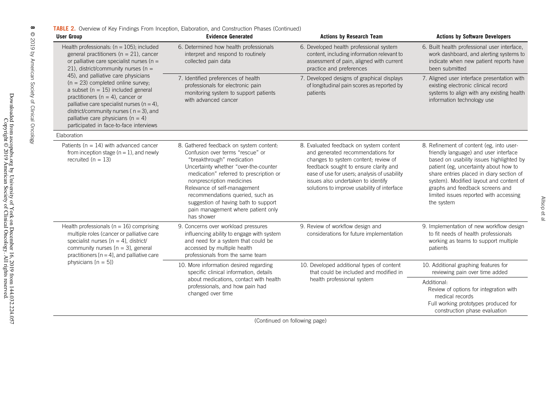| User Group                                                                                                                                                                                                                                                                                                                                        | <b>Evidence Generated</b>                                                                                                                                                                                                                                                                                                                                                                 | <b>Actions by Research Team</b>                                                                                                                                                                                                                                                                    | <b>Actions by Software Developers</b>                                                                                                                                                                                                                                                                                                                    |
|---------------------------------------------------------------------------------------------------------------------------------------------------------------------------------------------------------------------------------------------------------------------------------------------------------------------------------------------------|-------------------------------------------------------------------------------------------------------------------------------------------------------------------------------------------------------------------------------------------------------------------------------------------------------------------------------------------------------------------------------------------|----------------------------------------------------------------------------------------------------------------------------------------------------------------------------------------------------------------------------------------------------------------------------------------------------|----------------------------------------------------------------------------------------------------------------------------------------------------------------------------------------------------------------------------------------------------------------------------------------------------------------------------------------------------------|
| Health professionals: $(n = 105)$ ; included<br>general practitioners ( $n = 21$ ), cancer<br>or palliative care specialist nurses (n =<br>21), district/community nurses ( $n =$                                                                                                                                                                 | 6. Determined how health professionals<br>interpret and respond to routinely<br>collected pain data                                                                                                                                                                                                                                                                                       | 6. Developed health professional system<br>content, including information relevant to<br>assessment of pain, aligned with current<br>practice and preferences                                                                                                                                      | 6. Built health professional user interface,<br>work dashboard, and alerting systems to<br>indicate when new patient reports have<br>been submitted                                                                                                                                                                                                      |
| 45), and palliative care physicians<br>$(n = 23)$ completed online survey;<br>a subset ( $n = 15$ ) included general<br>practitioners ( $n = 4$ ), cancer or<br>palliative care specialist nurses ( $n = 4$ ),<br>district/community nurses ( $n = 3$ ), and<br>palliative care physicians ( $n = 4$ )<br>participated in face-to-face interviews | 7. Identified preferences of health<br>professionals for electronic pain<br>monitoring system to support patients<br>with advanced cancer                                                                                                                                                                                                                                                 | 7. Developed designs of graphical displays<br>of longitudinal pain scores as reported by<br>patients                                                                                                                                                                                               | 7. Aligned user interface presentation with<br>existing electronic clinical record<br>systems to align with any existing health<br>information technology use                                                                                                                                                                                            |
| Elaboration                                                                                                                                                                                                                                                                                                                                       |                                                                                                                                                                                                                                                                                                                                                                                           |                                                                                                                                                                                                                                                                                                    |                                                                                                                                                                                                                                                                                                                                                          |
| Patients ( $n = 14$ ) with advanced cancer<br>from inception stage ( $n = 1$ ), and newly<br>recruited $(n = 13)$                                                                                                                                                                                                                                 | 8. Gathered feedback on system content:<br>Confusion over terms "rescue" or<br>"breakthrough" medication<br>Uncertainty whether "over-the-counter<br>medication" referred to prescription or<br>nonprescription medicines<br>Relevance of self-management<br>recommendations queried, such as<br>suggestion of having bath to support<br>pain management where patient only<br>has shower | 8. Evaluated feedback on system content<br>and generated recommendations for<br>changes to system content; review of<br>feedback sought to ensure clarity and<br>ease of use for users; analysis of usability<br>issues also undertaken to identify<br>solutions to improve usability of interface | 8. Refinement of content (eg, into user-<br>friendly language) and user interface<br>based on usability issues highlighted by<br>patient (eg, uncertainty about how to<br>share entries placed in diary section of<br>system). Modified layout and content of<br>graphs and feedback screens and<br>limited issues reported with accessing<br>the system |
| Health professionals ( $n = 16$ ) comprising<br>multiple roles (cancer or palliative care<br>specialist nurses $[n = 4]$ , district/<br>community nurses $[n = 3]$ , general<br>practitioners $[n = 4]$ , and palliative care<br>physicians $[n = 5]$ )                                                                                           | 9. Concerns over workload pressures<br>influencing ability to engage with system<br>and need for a system that could be<br>accessed by multiple health<br>professionals from the same team                                                                                                                                                                                                | 9. Review of workflow design and<br>considerations for future implementation                                                                                                                                                                                                                       | 9. Implementation of new workflow design<br>to fit needs of health professionals<br>working as teams to support multiple<br>patients                                                                                                                                                                                                                     |
|                                                                                                                                                                                                                                                                                                                                                   | 10. More information desired regarding<br>specific clinical information, details                                                                                                                                                                                                                                                                                                          | 10. Developed additional types of content<br>that could be included and modified in<br>health professional system                                                                                                                                                                                  | 10. Additional graphing features for<br>reviewing pain over time added                                                                                                                                                                                                                                                                                   |
|                                                                                                                                                                                                                                                                                                                                                   | about medications, contact with health<br>professionals, and how pain had<br>changed over time                                                                                                                                                                                                                                                                                            |                                                                                                                                                                                                                                                                                                    | Additional:<br>Review of options for integration with<br>medical records<br>Full working prototypes produced for<br>construction phase evaluation                                                                                                                                                                                                        |

(Continued on following page)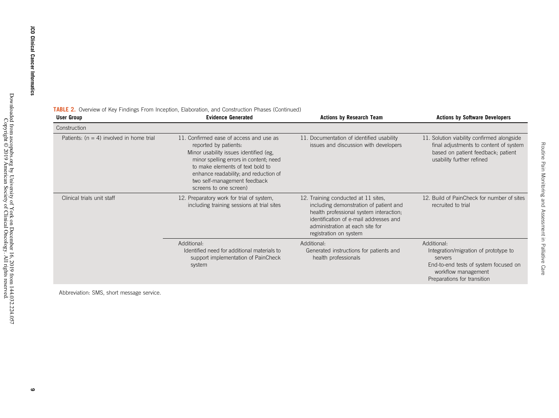| <b>User Group</b>                          | <b>Evidence Generated</b>                                                                                                                                                                                                                                                                   | <b>Actions by Research Team</b>                                                                                                                                                                                                 | <b>Actions by Software Developers</b>                                                                                                                          |
|--------------------------------------------|---------------------------------------------------------------------------------------------------------------------------------------------------------------------------------------------------------------------------------------------------------------------------------------------|---------------------------------------------------------------------------------------------------------------------------------------------------------------------------------------------------------------------------------|----------------------------------------------------------------------------------------------------------------------------------------------------------------|
| Construction                               |                                                                                                                                                                                                                                                                                             |                                                                                                                                                                                                                                 |                                                                                                                                                                |
| Patients: $(n = 4)$ involved in home trial | 11. Confirmed ease of access and use as<br>reported by patients:<br>Minor usability issues identified (eg,<br>minor spelling errors in content; need<br>to make elements of text bold to<br>enhance readability; and reduction of<br>two self-management feedback<br>screens to one screen) | 11. Documentation of identified usability<br>issues and discussion with developers                                                                                                                                              | 11. Solution viability confirmed alongside<br>final adjustments to content of system<br>based on patient feedback; patient<br>usability further refined        |
| Clinical trials unit staff                 | 12. Preparatory work for trial of system,<br>including training sessions at trial sites                                                                                                                                                                                                     | 12. Training conducted at 11 sites,<br>including demonstration of patient and<br>health professional system interaction;<br>identification of e-mail addresses and<br>administration at each site for<br>registration on system | 12. Build of PainCheck for number of sites<br>recruited to trial                                                                                               |
|                                            | Additional:<br>Identified need for additional materials to<br>support implementation of PainCheck<br>system                                                                                                                                                                                 | Additional:<br>Generated instructions for patients and<br>health professionals                                                                                                                                                  | Additional:<br>Integration/migration of prototype to<br>servers<br>End-to-end tests of system focused on<br>workflow management<br>Preparations for transition |

Routine Pain Monitoring and Assessment in Palliative Care

Routine Pain Monitoring and Assessment in Palliative Care

 $\overline{\phantom{0}}$ 

#### TABLE 2. Overview of Key Findings From Inception, Elaboration, and Construction Phases (Continued)

Abbreviation: SMS, short message service.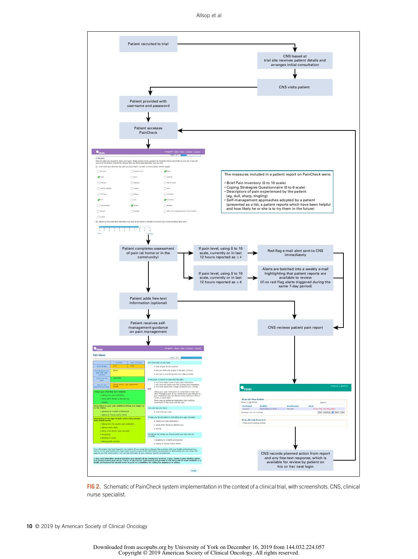Allsop et al





10 © 2019 by American Society of Clinical Oncology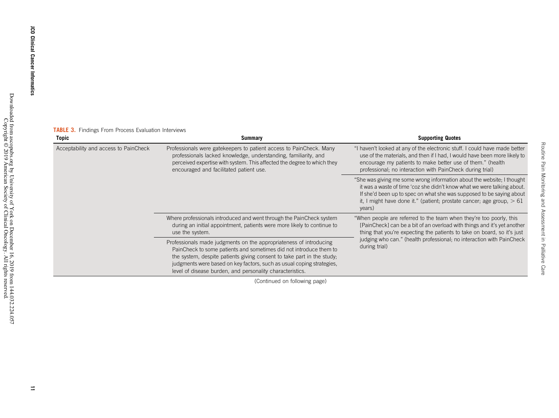$\overline{\phantom{a}}$ 

#### TABLE 3. Findings From Process Evaluation Interviews

| Topic                                 | <b>Summary</b>                                                                                                                                                                                                                                                                                                                                           | <b>Supporting Quotes</b>                                                                                                                                                                                                                                                                                       |
|---------------------------------------|----------------------------------------------------------------------------------------------------------------------------------------------------------------------------------------------------------------------------------------------------------------------------------------------------------------------------------------------------------|----------------------------------------------------------------------------------------------------------------------------------------------------------------------------------------------------------------------------------------------------------------------------------------------------------------|
| Acceptability and access to PainCheck | Professionals were gatekeepers to patient access to PainCheck. Many<br>professionals lacked knowledge, understanding, familiarity, and<br>perceived expertise with system. This affected the degree to which they<br>encouraged and facilitated patient use.                                                                                             | "I haven't looked at any of the electronic stuff. I could have made better<br>use of the materials, and then if I had, I would have been more likely to<br>encourage my patients to make better use of them." (health<br>professional; no interaction with PainCheck during trial)                             |
|                                       |                                                                                                                                                                                                                                                                                                                                                          | "She was giving me some wrong information about the website; I thought<br>it was a waste of time 'coz she didn't know what we were talking about.<br>If she'd been up to spec on what she was supposed to be saying about<br>it, I might have done it." (patient; prostate cancer; age group, $> 61$<br>years) |
|                                       | Where professionals introduced and went through the PainCheck system<br>during an initial appointment, patients were more likely to continue to<br>use the system.                                                                                                                                                                                       | "When people are referred to the team when they're too poorly, this<br>[PainCheck] can be a bit of an overload with things and it's yet another<br>thing that you're expecting the patients to take on board, so it's just                                                                                     |
|                                       | Professionals made judgments on the appropriateness of introducing<br>PainCheck to some patients and sometimes did not introduce them to<br>the system, despite patients giving consent to take part in the study;<br>judgments were based on key factors, such as usual coping strategies,<br>level of disease burden, and personality characteristics. | judging who can." (health professional; no interaction with PainCheck<br>during trial)                                                                                                                                                                                                                         |

(Continued on following page)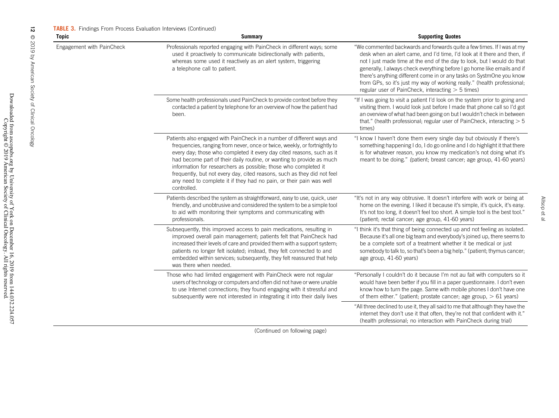| <b>Topic</b>              | <b>Summary</b>                                                                                                                                                                                                                                                                                                                                                                                                                                                                                                                            | <b>Supporting Quotes</b>                                                                                                                                                                                                                                                                                                                                                                                                                                                                                            |
|---------------------------|-------------------------------------------------------------------------------------------------------------------------------------------------------------------------------------------------------------------------------------------------------------------------------------------------------------------------------------------------------------------------------------------------------------------------------------------------------------------------------------------------------------------------------------------|---------------------------------------------------------------------------------------------------------------------------------------------------------------------------------------------------------------------------------------------------------------------------------------------------------------------------------------------------------------------------------------------------------------------------------------------------------------------------------------------------------------------|
| Engagement with PainCheck | Professionals reported engaging with PainCheck in different ways; some<br>used it proactively to communicate bidirectionally with patients,<br>whereas some used it reactively as an alert system, triggering<br>a telephone call to patient.                                                                                                                                                                                                                                                                                             | "We commented backwards and forwards quite a few times. If I was at my<br>desk when an alert came, and I'd time, I'd look at it there and then, if<br>not I just made time at the end of the day to look, but I would do that<br>generally, I always check everything before I go home like emails and if<br>there's anything different come in or any tasks on SystmOne you know<br>from GPs, so it's just my way of working really." (health professional;<br>regular user of PainCheck, interacting $> 5$ times) |
|                           | Some health professionals used PainCheck to provide context before they<br>contacted a patient by telephone for an overview of how the patient had<br>been.                                                                                                                                                                                                                                                                                                                                                                               | "If I was going to visit a patient I'd look on the system prior to going and<br>visiting them. I would look just before I made that phone call so I'd got<br>an overview of what had been going on but I wouldn't check in between<br>that." (health professional; regular user of PainCheck, interacting $> 5$<br>times)                                                                                                                                                                                           |
|                           | Patients also engaged with PainCheck in a number of different ways and<br>frequencies, ranging from never, once or twice, weekly, or fortnightly to<br>every day; those who completed it every day cited reasons, such as it<br>had become part of their daily routine, or wanting to provide as much<br>information for researchers as possible; those who completed it<br>frequently, but not every day, cited reasons, such as they did not feel<br>any need to complete it if they had no pain, or their pain was well<br>controlled. | "I know I haven't done them every single day but obviously if there's<br>something happening I do, I do go online and I do highlight it that there<br>is for whatever reason, you know my medication's not doing what it's<br>meant to be doing." (patient; breast cancer; age group, 41-60 years)                                                                                                                                                                                                                  |
|                           | Patients described the system as straightforward, easy to use, quick, user<br>friendly, and unobtrusive and considered the system to be a simple tool<br>to aid with monitoring their symptoms and communicating with<br>professionals.                                                                                                                                                                                                                                                                                                   | "It's not in any way obtrusive. It doesn't interfere with work or being at<br>home on the evening. I liked it because it's simple, it's quick, it's easy.<br>It's not too long, it doesn't feel too short. A simple tool is the best tool."<br>(patient; rectal cancer; age group, 41-60 years)                                                                                                                                                                                                                     |
|                           | Subsequently, this improved access to pain medications, resulting in<br>improved overall pain management; patients felt that PainCheck had<br>increased their levels of care and provided them with a support system;<br>patients no longer felt isolated; instead, they felt connected to and<br>embedded within services; subsequently, they felt reassured that help<br>was there when needed.                                                                                                                                         | "I think it's that thing of being connected up and not feeling as isolated.<br>Because it's all one big team and everybody's joined up, there seems to<br>be a complete sort of a treatment whether it be medical or just<br>somebody to talk to, so that's been a big help." (patient; thymus cancer;<br>age group, 41-60 years)                                                                                                                                                                                   |
|                           | Those who had limited engagement with PainCheck were not regular<br>users of technology or computers and often did not have or were unable<br>to use Internet connections; they found engaging with it stressful and<br>subsequently were not interested in integrating it into their daily lives                                                                                                                                                                                                                                         | "Personally I couldn't do it because I'm not au fait with computers so it<br>would have been better if you fill in a paper questionnaire. I don't even<br>know how to turn the page. Same with mobile phones I don't have one<br>of them either." (patient; prostate cancer; age group, $> 61$ years)                                                                                                                                                                                                               |
|                           |                                                                                                                                                                                                                                                                                                                                                                                                                                                                                                                                           | "All three declined to use it, they all said to me that although they have the<br>internet they don't use it that often, they're not that confident with it."<br>(health professional; no interaction with PainCheck during trial)                                                                                                                                                                                                                                                                                  |

(Continued on following page)

Downloaded from ascopubs.org by University of York on December 16, 2019 from 144.032.224.057 Copyright © 2019 American Society of Clinical Oncology. All rights reserved.

Downloaded from ascopubs.org by University of York on December 16, 2019 from 144.032.224.057<br>Copyright © 2019 American Society of Clinical Oncology. All rights reserved.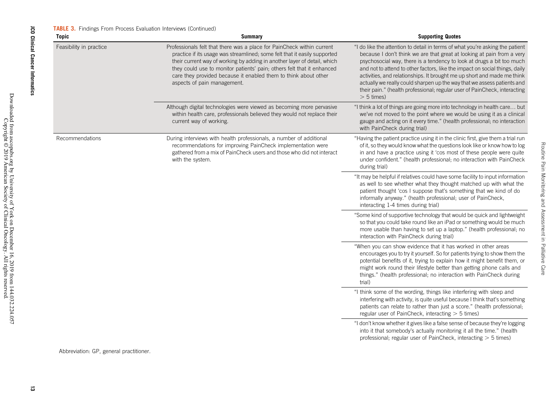| <b>IADLE J.</b> FINDINGS FIONI FIOCESS EVAIDADOI INTERVIEWS (CONTINUED)<br><b>Topic</b> | <b>Summary</b>                                                                                                                                                                                                                                                                                                                                                                                              | <b>Supporting Quotes</b>                                                                                                                                                                                                                                                                                                                                                                                                                                                                                                                                           |
|-----------------------------------------------------------------------------------------|-------------------------------------------------------------------------------------------------------------------------------------------------------------------------------------------------------------------------------------------------------------------------------------------------------------------------------------------------------------------------------------------------------------|--------------------------------------------------------------------------------------------------------------------------------------------------------------------------------------------------------------------------------------------------------------------------------------------------------------------------------------------------------------------------------------------------------------------------------------------------------------------------------------------------------------------------------------------------------------------|
| Feasibility in practice                                                                 | Professionals felt that there was a place for PainCheck within current<br>practice if its usage was streamlined; some felt that it easily supported<br>their current way of working by adding in another layer of detail, which<br>they could use to monitor patients' pain; others felt that it enhanced<br>care they provided because it enabled them to think about other<br>aspects of pain management. | "I do like the attention to detail in terms of what you're asking the patient<br>because I don't think we are that great at looking at pain from a very<br>psychosocial way, there is a tendency to look at drugs a bit too much<br>and not to attend to other factors, like the impact on social things, daily<br>activities, and relationships. It brought me up short and made me think<br>actually we really could sharpen up the way that we assess patients and<br>their pain." (health professional; regular user of PainCheck, interacting<br>$> 5$ times) |
|                                                                                         | Although digital technologies were viewed as becoming more pervasive<br>within health care, professionals believed they would not replace their<br>current way of working.                                                                                                                                                                                                                                  | "I think a lot of things are going more into technology in health care but<br>we've not moved to the point where we would be using it as a clinical<br>gauge and acting on it every time." (health professional; no interaction<br>with PainCheck during trial)                                                                                                                                                                                                                                                                                                    |
| Recommendations                                                                         | During interviews with health professionals, a number of additional<br>recommendations for improving PainCheck implementation were<br>gathered from a mix of PainCheck users and those who did not interact<br>with the system.                                                                                                                                                                             | "Having the patient practice using it in the clinic first, give them a trial run<br>of it, so they would know what the questions look like or know how to log<br>in and have a practice using it 'cos most of these people were quite<br>under confident." (health professional; no interaction with PainCheck<br>during trial)                                                                                                                                                                                                                                    |
|                                                                                         |                                                                                                                                                                                                                                                                                                                                                                                                             | "It may be helpful if relatives could have some facility to input information<br>as well to see whether what they thought matched up with what the<br>patient thought 'cos I suppose that's something that we kind of do<br>informally anyway." (health professional; user of PainCheck,<br>interacting 1-4 times during trial)                                                                                                                                                                                                                                    |
|                                                                                         |                                                                                                                                                                                                                                                                                                                                                                                                             | "Some kind of supportive technology that would be quick and lightweight<br>so that you could take round like an iPad or something would be much<br>more usable than having to set up a laptop." (health professional; no<br>interaction with PainCheck during trial)                                                                                                                                                                                                                                                                                               |
|                                                                                         |                                                                                                                                                                                                                                                                                                                                                                                                             | "When you can show evidence that it has worked in other areas<br>encourages you to try it yourself. So for patients trying to show them the<br>potential benefits of it, trying to explain how it might benefit them, or<br>might work round their lifestyle better than getting phone calls and<br>things." (health professional; no interaction with PainCheck during<br>trial)                                                                                                                                                                                  |
|                                                                                         |                                                                                                                                                                                                                                                                                                                                                                                                             | "I think some of the wording, things like interfering with sleep and<br>interfering with activity, is quite useful because I think that's something<br>patients can relate to rather than just a score." (health professional;<br>regular user of PainCheck, interacting $> 5$ times)                                                                                                                                                                                                                                                                              |
|                                                                                         |                                                                                                                                                                                                                                                                                                                                                                                                             | "I don't know whether it gives like a false sense of because they're logging<br>into it that somebody's actually monitoring it all the time." (health<br>professional; regular user of PainCheck, interacting $> 5$ times)                                                                                                                                                                                                                                                                                                                                         |

Abbreviation: GP, general practitioner.

Downloaded from ascopubs.org by University of York on December 16, 2019 from 144.032.224.057 Copyright © 2019 American Society of Clinical Oncology. All rights reserved.

Downloaded from ascopubs.org by University of York on December 16, 2019 from 144.032.224.057<br>Copyright © 2019 American Society of Clinical Oncology. All rights reserved.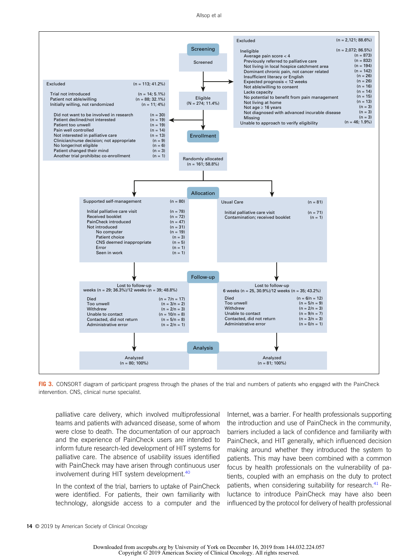

FIG 3. CONSORT diagram of participant progress through the phases of the trial and numbers of patients who engaged with the PainCheck intervention. CNS, clinical nurse specialist.

palliative care delivery, which involved multiprofessional teams and patients with advanced disease, some of whom were close to death. The documentation of our approach and the experience of PainCheck users are intended to inform future research-led development of HIT systems for palliative care. The absence of usability issues identified with PainCheck may have arisen through continuous user involvement during HIT system development.<sup>40</sup>

In the context of the trial, barriers to uptake of PainCheck were identified. For patients, their own familiarity with technology, alongside access to a computer and the

Internet, was a barrier. For health professionals supporting the introduction and use of PainCheck in the community, barriers included a lack of confidence and familiarity with PainCheck, and HIT generally, which influenced decision making around whether they introduced the system to patients. This may have been combined with a common focus by health professionals on the vulnerability of patients, coupled with an emphasis on the duty to protect patients, when considering suitability for research.<sup>41</sup> Reluctance to introduce PainCheck may have also been influenced by the protocol for delivery of health professional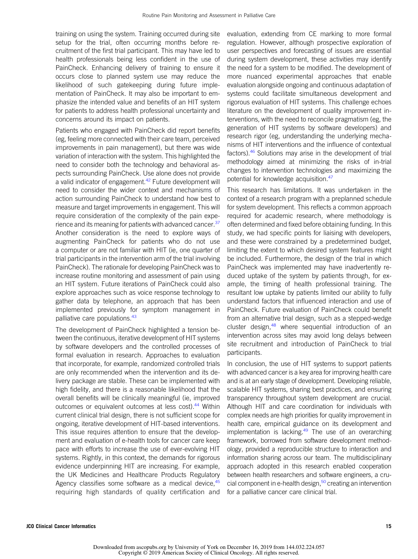training on using the system. Training occurred during site setup for the trial, often occurring months before recruitment of the first trial participant. This may have led to health professionals being less confident in the use of PainCheck. Enhancing delivery of training to ensure it occurs close to planned system use may reduce the likelihood of such gatekeeping during future implementation of PainCheck. It may also be important to emphasize the intended value and benefits of an HIT system for patients to address health professional uncertainty and concerns around its impact on patients.

Patients who engaged with PainCheck did report benefits (eg, feeling more connected with their care team, perceived improvements in pain management), but there was wide variation of interaction with the system. This highlighted the need to consider both the technology and behavioral aspects surrounding PainCheck. Use alone does not provide a valid indicator of engagement.<sup>42</sup> Future development will need to consider the wider context and mechanisms of action surrounding PainCheck to understand how best to measure and target improvements in engagement. This will require consideration of the complexity of the pain experience and its meaning for patients with advanced cancer.<sup>37</sup> Another consideration is the need to explore ways of augmenting PainCheck for patients who do not use a computer or are not familiar with HIT (ie, one quarter of trial participants in the intervention arm of the trial involving PainCheck). The rationale for developing PainCheck was to increase routine monitoring and assessment of pain using an HIT system. Future iterations of PainCheck could also explore approaches such as voice response technology to gather data by telephone, an approach that has been implemented previously for symptom management in palliative care populations.<sup>43</sup>

The development of PainCheck highlighted a tension between the continuous, iterative development of HIT systems by software developers and the controlled processes of formal evaluation in research. Approaches to evaluation that incorporate, for example, randomized controlled trials are only recommended when the intervention and its delivery package are stable. These can be implemented with high fidelity, and there is a reasonable likelihood that the overall benefits will be clinically meaningful (ie, improved outcomes or equivalent outcomes at less cost).<sup>44</sup> Within current clinical trial design, there is not sufficient scope for ongoing, iterative development of HIT-based interventions. This issue requires attention to ensure that the development and evaluation of e-health tools for cancer care keep pace with efforts to increase the use of ever-evolving HIT systems. Rightly, in this context, the demands for rigorous evidence underpinning HIT are increasing. For example, the UK Medicines and Healthcare Products Regulatory Agency classifies some software as a medical device, 45 requiring high standards of quality certification and evaluation, extending from CE marking to more formal regulation. However, although prospective exploration of user perspectives and forecasting of issues are essential during system development, these activities may identify the need for a system to be modified. The development of more nuanced experimental approaches that enable evaluation alongside ongoing and continuous adaptation of systems could facilitate simultaneous development and rigorous evaluation of HIT systems. This challenge echoes literature on the development of quality improvement interventions, with the need to reconcile pragmatism (eg, the generation of HIT systems by software developers) and research rigor (eg, understanding the underlying mechanisms of HIT interventions and the influence of contextual factors).<sup>46</sup> Solutions may arise in the development of trial methodology aimed at minimizing the risks of in-trial changes to intervention technologies and maximizing the potential for knowledge acquisition.<sup>47</sup>

This research has limitations. It was undertaken in the context of a research program with a preplanned schedule for system development. This reflects a common approach required for academic research, where methodology is often determined and fixed before obtaining funding. In this study, we had specific points for liaising with developers, and these were constrained by a predetermined budget, limiting the extent to which desired system features might be included. Furthermore, the design of the trial in which PainCheck was implemented may have inadvertently reduced uptake of the system by patients through, for example, the timing of health professional training. The resultant low uptake by patients limited our ability to fully understand factors that influenced interaction and use of PainCheck. Future evaluation of PainCheck could benefit from an alternative trial design, such as a stepped-wedge cluster design, $48$  where sequential introduction of an intervention across sites may avoid long delays between site recruitment and introduction of PainCheck to trial participants.

In conclusion, the use of HIT systems to support patients with advanced cancer is a key area for improving health care and is at an early stage of development. Developing reliable, scalable HIT systems, sharing best practices, and ensuring transparency throughout system development are crucial. Although HIT and care coordination for individuals with complex needs are high priorities for quality improvement in health care, empirical guidance on its development and implementation is lacking.<sup>49</sup> The use of an overarching framework, borrowed from software development methodology, provided a reproducible structure to interaction and information sharing across our team. The multidisciplinary approach adopted in this research enabled cooperation between health researchers and software engineers, a crucial component in e-health design,<sup>50</sup> creating an intervention for a palliative cancer care clinical trial.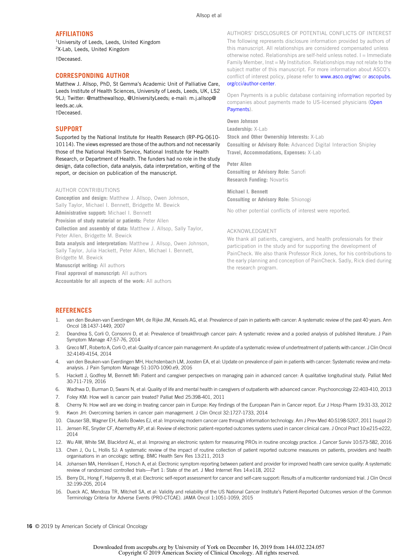#### AFFILIATIONS

<sup>1</sup>University of Leeds, Leeds, United Kingdom <sup>2</sup>X-Lab, Leeds, United Kingdom

†Deceased.

#### CORRESPONDING AUTHOR

Matthew J. Allsop, PhD, St Gemma's Academic Unit of Palliative Care, Leeds Institute of Health Sciences, University of Leeds, Leeds, UK, LS2 9LJ; Twitter: @matthewallsop, @UniversityLeeds; e-mail: m.j.allsop@ leeds.ac.uk. †Deceased.

#### **SUPPORT**

Supported by the National Institute for Health Research (RP-PG-0610- 10114). The views expressed are those of the authors and not necessarily those of the National Health Service, National Institute for Health Research, or Department of Health. The funders had no role in the study design, data collection, data analysis, data interpretation, writing of the report, or decision on publication of the manuscript.

#### AUTHOR CONTRIBUTIONS

Conception and design: Matthew J. Allsop, Owen Johnson, Sally Taylor, Michael I. Bennett, Bridgette M. Bewick

Administrative support: Michael I. Bennett

Provision of study material or patients: Peter Allen

Collection and assembly of data: Matthew J. Allsop, Sally Taylor, Peter Allen, Bridgette M. Bewick

Data analysis and interpretation: Matthew J. Allsop, Owen Johnson, Sally Taylor, Julia Hackett, Peter Allen, Michael I. Bennett,

Bridgette M. Bewick

Manuscript writing: All authors

Final approval of manuscript: All authors

Accountable for all aspects of the work: All authors

AUTHORS' DISCLOSURES OF POTENTIAL CONFLICTS OF INTEREST The following represents disclosure information provided by authors of this manuscript. All relationships are considered compensated unless otherwise noted. Relationships are self-held unless noted. I = Immediate Family Member, Inst = My Institution. Relationships may not relate to the subject matter of this manuscript. For more information about ASCO's conflict of interest policy, please refer to www.asco.org/rwc or ascopubs. org/cci/author-center.

Open Payments is a public database containing information reported by companies about payments made to US-licensed physicians (Open Payments).

Owen Johnson Leadership: X-Lab

Stock and Other Ownership Interests: X-Lab Consulting or Advisory Role: Advanced Digital Interaction Shipley Travel, Accommodations, Expenses: X-Lab

#### Peter Allen

Consulting or Advisory Role: Sanofi Research Funding: Novartis

Michael I. Bennett Consulting or Advisory Role: Shionogi

No other potential conflicts of interest were reported.

#### ACKNOWLEDGMENT

We thank all patients, caregivers, and health professionals for their participation in the study and for supporting the development of PainCheck. We also thank Professor Rick Jones, for his contributions to the early planning and conception of PainCheck. Sadly, Rick died during the research program.

#### **REFERENCES**

- 1. van den Beuken-van Everdingen MH, de Rijke JM, Kessels AG, et al: Prevalence of pain in patients with cancer: A systematic review of the past 40 years. Ann Oncol 18:1437-1449, 2007
- 2. Deandrea S, Corli O, Consonni D, et al: Prevalence of breakthrough cancer pain: A systematic review and a pooled analysis of published literature. J Pain Symptom Manage 47:57-76, 2014
- 3. Greco MT, Roberto A, Corli O, et al: Quality of cancer pain management: An update of a systematic review of undertreatment of patients with cancer. J Clin Oncol 32:4149-4154, 2014
- 4. van den Beuken-van Everdingen MH, Hochstenbach LM, Joosten EA, et al: Update on prevalence of pain in patients with cancer: Systematic review and metaanalysis. J Pain Symptom Manage 51:1070-1090.e9, 2016
- 5. Hackett J, Godfrey M, Bennett MI: Patient and caregiver perspectives on managing pain in advanced cancer: A qualitative longitudinal study. Palliat Med 30:711-719, 2016
- 6. Wadhwa D, Burman D, Swami N, et al: Quality of life and mental health in caregivers of outpatients with advanced cancer. Psychooncology 22:403-410, 2013
- 7. Foley KM: How well is cancer pain treated? Palliat Med 25:398-401, 2011
- 8. Cherny N: How well are we doing in treating cancer pain in Europe: Key findings of the European Pain in Cancer report. Eur J Hosp Pharm 19:31-33, 2012
- 9. Kwon JH: Overcoming barriers in cancer pain management. J Clin Oncol 32:1727-1733, 2014
- 10. Clauser SB, Wagner EH, Aiello Bowles EJ, et al: Improving modern cancer care through information technology. Am J Prev Med 40:S198-S207, 2011 (suppl 2)
- 11. Jensen RE, Snyder CF, Abernethy AP, et al: Review of electronic patient-reported outcomes systems used in cancer clinical care. J Oncol Pract 10:e215-e222, 2014
- 12. Wu AW, White SM, Blackford AL, et al: Improving an electronic system for measuring PROs in routine oncology practice. J Cancer Surviv 10:573-582, 2016
- 13. Chen J, Ou L, Hollis SJ: A systematic review of the impact of routine collection of patient reported outcome measures on patients, providers and health organisations in an oncologic setting. BMC Health Serv Res 13:211, 2013
- 14. Johansen MA, Henriksen E, Horsch A, et al: Electronic symptom reporting between patient and provider for improved health care service quality: A systematic review of randomized controlled trials—Part 1: State of the art. J Med Internet Res 14:e118, 2012
- 15. Berry DL, Hong F, Halpenny B, et al: Electronic self-report assessment for cancer and self-care support: Results of a multicenter randomized trial. J Clin Oncol 32:199-205, 2014
- 16. Dueck AC, Mendoza TR, Mitchell SA, et al: Validity and reliability of the US National Cancer Institute's Patient-Reported Outcomes version of the Common Terminology Criteria for Adverse Events (PRO-CTCAE). JAMA Oncol 1:1051-1059, 2015